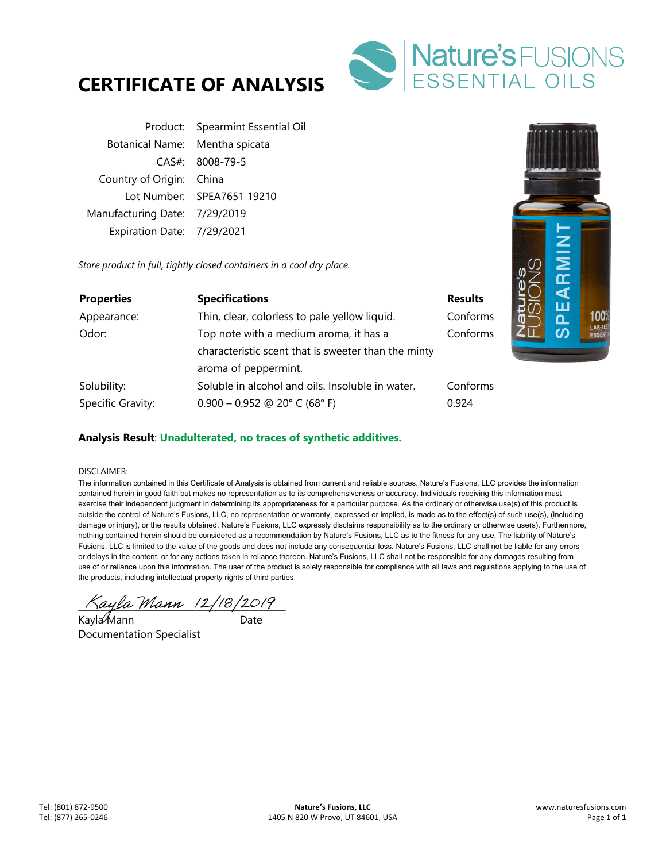



|                                | Product: Spearmint Essential Oil |
|--------------------------------|----------------------------------|
| Botanical Name: Mentha spicata |                                  |
|                                | $CAS#: 8008-79-5$                |
| Country of Origin: China       |                                  |
|                                | Lot Number: SPEA7651 19210       |
| Manufacturing Date: 7/29/2019  |                                  |
| Expiration Date: 7/29/2021     |                                  |

*Store product in full, tightly closed containers in a cool dry place.* 

| <b>Properties</b> | <b>Specifications</b>                               | <b>Results</b> |
|-------------------|-----------------------------------------------------|----------------|
| Appearance:       | Thin, clear, colorless to pale yellow liquid.       | Conforms       |
| Odor:             | Top note with a medium aroma, it has a              | Conforms       |
|                   | characteristic scent that is sweeter than the minty |                |
|                   | aroma of peppermint.                                |                |
| Solubility:       | Soluble in alcohol and oils. Insoluble in water.    | Conforms       |
| Specific Gravity: | $0.900 - 0.952$ @ 20° C (68° F)                     | 0.924          |



## **Analysis Result**: **Unadulterated, no traces of synthetic additives.**

## DISCLAIMER:

The information contained in this Certificate of Analysis is obtained from current and reliable sources. Nature's Fusions, LLC provides the information contained herein in good faith but makes no representation as to its comprehensiveness or accuracy. Individuals receiving this information must exercise their independent judgment in determining its appropriateness for a particular purpose. As the ordinary or otherwise use(s) of this product is outside the control of Nature's Fusions, LLC, no representation or warranty, expressed or implied, is made as to the effect(s) of such use(s), (including damage or injury), or the results obtained. Nature's Fusions, LLC expressly disclaims responsibility as to the ordinary or otherwise use(s). Furthermore, nothing contained herein should be considered as a recommendation by Nature's Fusions, LLC as to the fitness for any use. The liability of Nature's Fusions, LLC is limited to the value of the goods and does not include any consequential loss. Nature's Fusions, LLC shall not be liable for any errors or delays in the content, or for any actions taken in reliance thereon. Nature's Fusions, LLC shall not be responsible for any damages resulting from use of or reliance upon this information. The user of the product is solely responsible for compliance with all laws and regulations applying to the use of the products, including intellectual property rights of third parties.

 $\land$ ayla Mann (2/18/2019)

Kayla Mann ann an Date Documentation Specialist